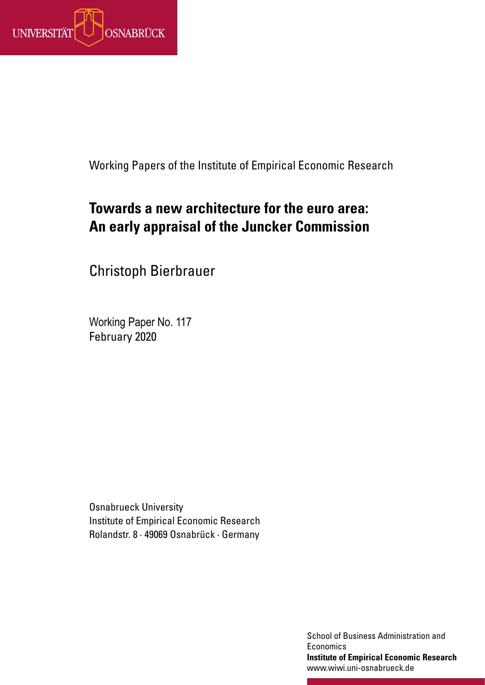

Working Papers of the Institute of Empirical Economic Research

## **Towards a new architecture for the euro area: An early appraisal of the Juncker Commission**

Christoph Bierbrauer

Working Paper No. 117 February 2020

Osnabrueck University Institute of Empirical Economic Research Rolandstr. 8 · 49069 Osnabrück · Germany

> School of Business Administration and **Institute of Economics**<br> **Institute of Empirical Economic Research Institute of Empirical Economic Research** www.wiwi.uni-osnabrueck.de www.wiwi.uni-osnabrueck.de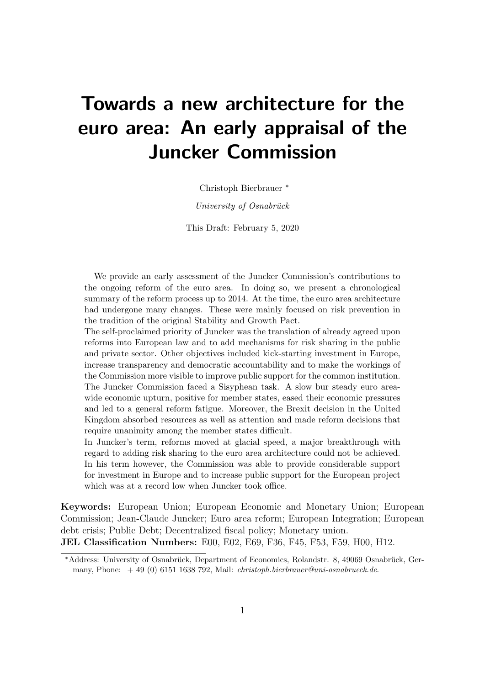# Towards a new architecture for the euro area: An early appraisal of the Juncker Commission

Christoph Bierbrauer <sup>∗</sup>

 $University of Osnabriick$ 

This Draft: February 5, 2020

We provide an early assessment of the Juncker Commission's contributions to the ongoing reform of the euro area. In doing so, we present a chronological summary of the reform process up to 2014. At the time, the euro area architecture had undergone many changes. These were mainly focused on risk prevention in the tradition of the original Stability and Growth Pact.

The self-proclaimed priority of Juncker was the translation of already agreed upon reforms into European law and to add mechanisms for risk sharing in the public and private sector. Other objectives included kick-starting investment in Europe, increase transparency and democratic accountability and to make the workings of the Commission more visible to improve public support for the common institution. The Juncker Commission faced a Sisyphean task. A slow bur steady euro areawide economic upturn, positive for member states, eased their economic pressures and led to a general reform fatigue. Moreover, the Brexit decision in the United Kingdom absorbed resources as well as attention and made reform decisions that require unanimity among the member states difficult.

In Juncker's term, reforms moved at glacial speed, a major breakthrough with regard to adding risk sharing to the euro area architecture could not be achieved. In his term however, the Commission was able to provide considerable support for investment in Europe and to increase public support for the European project which was at a record low when Juncker took office.

Keywords: European Union; European Economic and Monetary Union; European Commission; Jean-Claude Juncker; Euro area reform; European Integration; European debt crisis; Public Debt; Decentralized fiscal policy; Monetary union. JEL Classification Numbers: E00, E02, E69, F36, F45, F53, F59, H00, H12.

<sup>\*</sup>Address: University of Osnabrück, Department of Economics, Rolandstr. 8, 49069 Osnabrück, Germany, Phone:  $+49$  (0) 6151 1638 792, Mail: *christoph.bierbrauer@uni-osnabrueck.de.*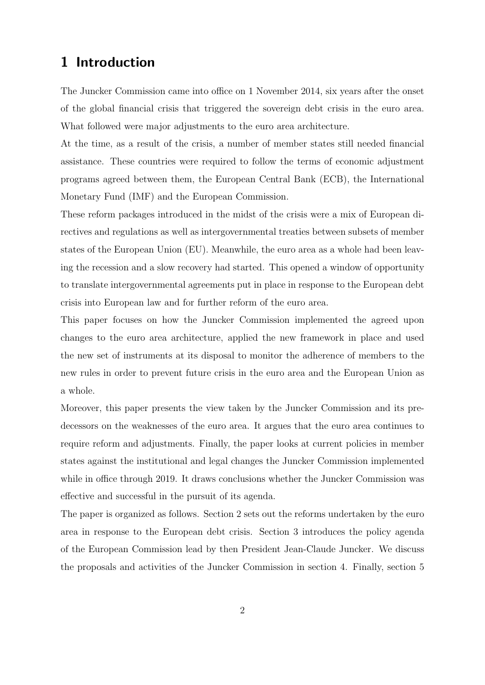## 1 Introduction

The Juncker Commission came into office on 1 November 2014, six years after the onset of the global financial crisis that triggered the sovereign debt crisis in the euro area. What followed were major adjustments to the euro area architecture.

At the time, as a result of the crisis, a number of member states still needed financial assistance. These countries were required to follow the terms of economic adjustment programs agreed between them, the European Central Bank (ECB), the International Monetary Fund (IMF) and the European Commission.

These reform packages introduced in the midst of the crisis were a mix of European directives and regulations as well as intergovernmental treaties between subsets of member states of the European Union (EU). Meanwhile, the euro area as a whole had been leaving the recession and a slow recovery had started. This opened a window of opportunity to translate intergovernmental agreements put in place in response to the European debt crisis into European law and for further reform of the euro area.

This paper focuses on how the Juncker Commission implemented the agreed upon changes to the euro area architecture, applied the new framework in place and used the new set of instruments at its disposal to monitor the adherence of members to the new rules in order to prevent future crisis in the euro area and the European Union as a whole.

Moreover, this paper presents the view taken by the Juncker Commission and its predecessors on the weaknesses of the euro area. It argues that the euro area continues to require reform and adjustments. Finally, the paper looks at current policies in member states against the institutional and legal changes the Juncker Commission implemented while in office through 2019. It draws conclusions whether the Juncker Commission was effective and successful in the pursuit of its agenda.

The paper is organized as follows. Section 2 sets out the reforms undertaken by the euro area in response to the European debt crisis. Section 3 introduces the policy agenda of the European Commission lead by then President Jean-Claude Juncker. We discuss the proposals and activities of the Juncker Commission in section 4. Finally, section 5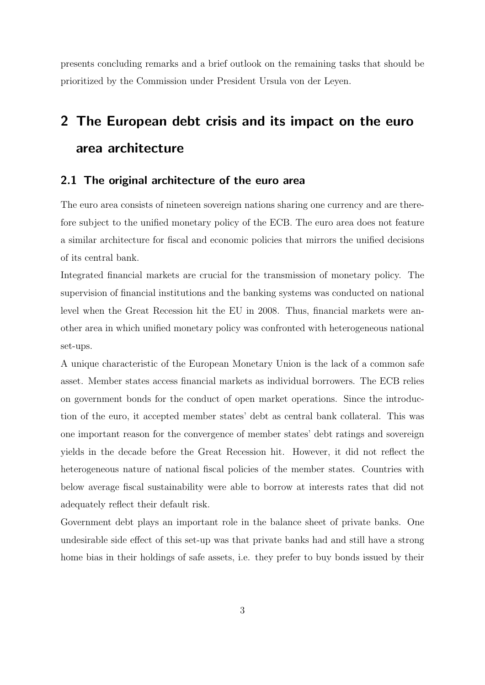presents concluding remarks and a brief outlook on the remaining tasks that should be prioritized by the Commission under President Ursula von der Leyen.

## 2 The European debt crisis and its impact on the euro area architecture

#### 2.1 The original architecture of the euro area

The euro area consists of nineteen sovereign nations sharing one currency and are therefore subject to the unified monetary policy of the ECB. The euro area does not feature a similar architecture for fiscal and economic policies that mirrors the unified decisions of its central bank.

Integrated financial markets are crucial for the transmission of monetary policy. The supervision of financial institutions and the banking systems was conducted on national level when the Great Recession hit the EU in 2008. Thus, financial markets were another area in which unified monetary policy was confronted with heterogeneous national set-ups.

A unique characteristic of the European Monetary Union is the lack of a common safe asset. Member states access financial markets as individual borrowers. The ECB relies on government bonds for the conduct of open market operations. Since the introduction of the euro, it accepted member states' debt as central bank collateral. This was one important reason for the convergence of member states' debt ratings and sovereign yields in the decade before the Great Recession hit. However, it did not reflect the heterogeneous nature of national fiscal policies of the member states. Countries with below average fiscal sustainability were able to borrow at interests rates that did not adequately reflect their default risk.

Government debt plays an important role in the balance sheet of private banks. One undesirable side effect of this set-up was that private banks had and still have a strong home bias in their holdings of safe assets, i.e. they prefer to buy bonds issued by their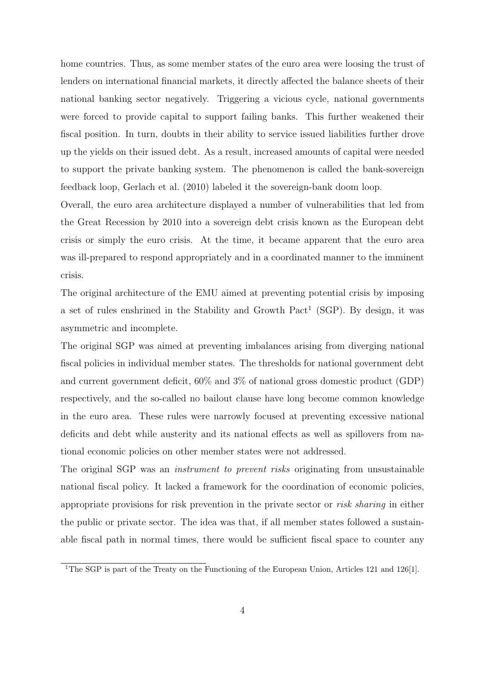home countries. Thus, as some member states of the euro area were loosing the trust of lenders on international financial markets, it directly affected the balance sheets of their national banking sector negatively. Triggering a vicious cycle, national governments were forced to provide capital to support failing banks. This further weakened their fiscal position. In turn, doubts in their ability to service issued liabilities further drove up the yields on their issued debt. As a result, increased amounts of capital were needed to support the private banking system. The phenomenon is called the bank-sovereign feedback loop, Gerlach et al. (2010) labeled it the sovereign-bank doom loop.

Overall, the euro area architecture displayed a number of vulnerabilities that led from the Great Recession by 2010 into a sovereign debt crisis known as the European debt crisis or simply the euro crisis. At the time, it became apparent that the euro area was ill-prepared to respond appropriately and in a coordinated manner to the imminent crisis.

The original architecture of the EMU aimed at preventing potential crisis by imposing a set of rules enshrined in the Stability and Growth Pact<sup>1</sup> (SGP). By design, it was asymmetric and incomplete.

The original SGP was aimed at preventing imbalances arising from diverging national fiscal policies in individual member states. The thresholds for national government debt and current government deficit, 60% and 3% of national gross domestic product (GDP) respectively, and the so-called no bailout clause have long become common knowledge in the euro area. These rules were narrowly focused at preventing excessive national deficits and debt while austerity and its national effects as well as spillovers from national economic policies on other member states were not addressed.

The original SGP was an *instrument to prevent risks* originating from unsustainable national fiscal policy. It lacked a framework for the coordination of economic policies, appropriate provisions for risk prevention in the private sector or risk sharing in either the public or private sector. The idea was that, if all member states followed a sustainable fiscal path in normal times, there would be sufficient fiscal space to counter any

<sup>&</sup>lt;sup>1</sup>The SGP is part of the Treaty on the Functioning of the European Union, Articles 121 and 126[1].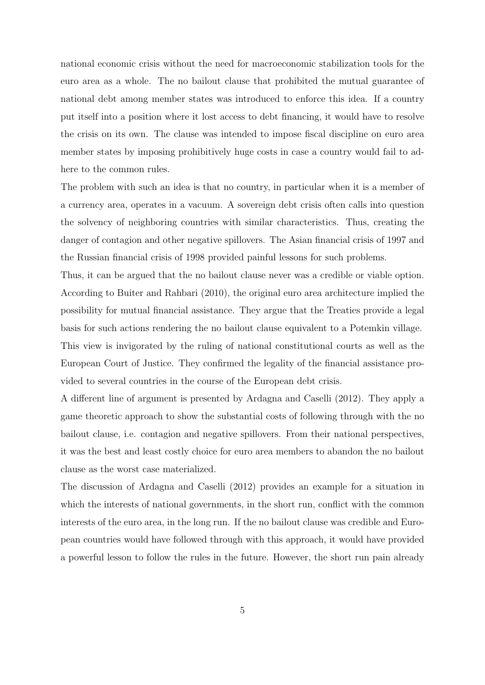national economic crisis without the need for macroeconomic stabilization tools for the euro area as a whole. The no bailout clause that prohibited the mutual guarantee of national debt among member states was introduced to enforce this idea. If a country put itself into a position where it lost access to debt financing, it would have to resolve the crisis on its own. The clause was intended to impose fiscal discipline on euro area member states by imposing prohibitively huge costs in case a country would fail to adhere to the common rules.

The problem with such an idea is that no country, in particular when it is a member of a currency area, operates in a vacuum. A sovereign debt crisis often calls into question the solvency of neighboring countries with similar characteristics. Thus, creating the danger of contagion and other negative spillovers. The Asian financial crisis of 1997 and the Russian financial crisis of 1998 provided painful lessons for such problems.

Thus, it can be argued that the no bailout clause never was a credible or viable option. According to Buiter and Rahbari (2010), the original euro area architecture implied the possibility for mutual financial assistance. They argue that the Treaties provide a legal basis for such actions rendering the no bailout clause equivalent to a Potemkin village. This view is invigorated by the ruling of national constitutional courts as well as the European Court of Justice. They confirmed the legality of the financial assistance provided to several countries in the course of the European debt crisis.

A different line of argument is presented by Ardagna and Caselli (2012). They apply a game theoretic approach to show the substantial costs of following through with the no bailout clause, i.e. contagion and negative spillovers. From their national perspectives, it was the best and least costly choice for euro area members to abandon the no bailout clause as the worst case materialized.

The discussion of Ardagna and Caselli (2012) provides an example for a situation in which the interests of national governments, in the short run, conflict with the common interests of the euro area, in the long run. If the no bailout clause was credible and European countries would have followed through with this approach, it would have provided a powerful lesson to follow the rules in the future. However, the short run pain already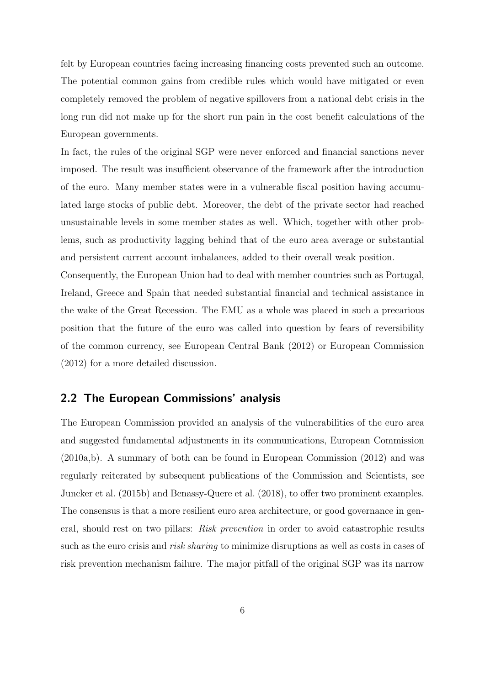felt by European countries facing increasing financing costs prevented such an outcome. The potential common gains from credible rules which would have mitigated or even completely removed the problem of negative spillovers from a national debt crisis in the long run did not make up for the short run pain in the cost benefit calculations of the European governments.

In fact, the rules of the original SGP were never enforced and financial sanctions never imposed. The result was insufficient observance of the framework after the introduction of the euro. Many member states were in a vulnerable fiscal position having accumulated large stocks of public debt. Moreover, the debt of the private sector had reached unsustainable levels in some member states as well. Which, together with other problems, such as productivity lagging behind that of the euro area average or substantial and persistent current account imbalances, added to their overall weak position.

Consequently, the European Union had to deal with member countries such as Portugal, Ireland, Greece and Spain that needed substantial financial and technical assistance in the wake of the Great Recession. The EMU as a whole was placed in such a precarious position that the future of the euro was called into question by fears of reversibility of the common currency, see European Central Bank (2012) or European Commission (2012) for a more detailed discussion.

#### 2.2 The European Commissions' analysis

The European Commission provided an analysis of the vulnerabilities of the euro area and suggested fundamental adjustments in its communications, European Commission (2010a,b). A summary of both can be found in European Commission (2012) and was regularly reiterated by subsequent publications of the Commission and Scientists, see Juncker et al. (2015b) and Benassy-Quere et al. (2018), to offer two prominent examples. The consensus is that a more resilient euro area architecture, or good governance in general, should rest on two pillars: Risk prevention in order to avoid catastrophic results such as the euro crisis and *risk sharing* to minimize disruptions as well as costs in cases of risk prevention mechanism failure. The major pitfall of the original SGP was its narrow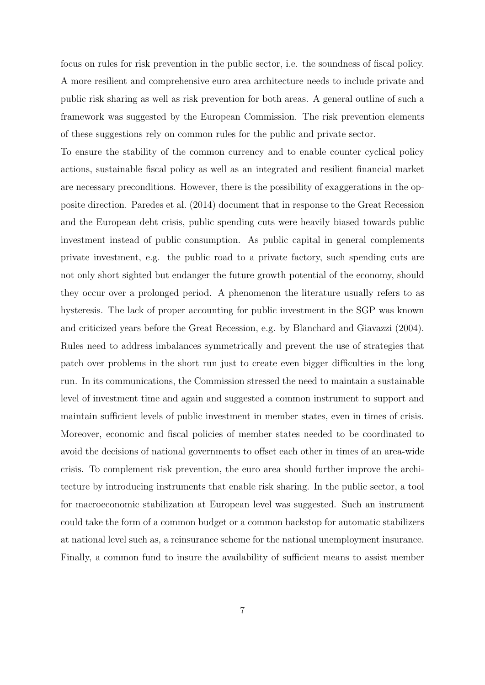focus on rules for risk prevention in the public sector, i.e. the soundness of fiscal policy. A more resilient and comprehensive euro area architecture needs to include private and public risk sharing as well as risk prevention for both areas. A general outline of such a framework was suggested by the European Commission. The risk prevention elements of these suggestions rely on common rules for the public and private sector.

To ensure the stability of the common currency and to enable counter cyclical policy actions, sustainable fiscal policy as well as an integrated and resilient financial market are necessary preconditions. However, there is the possibility of exaggerations in the opposite direction. Paredes et al. (2014) document that in response to the Great Recession and the European debt crisis, public spending cuts were heavily biased towards public investment instead of public consumption. As public capital in general complements private investment, e.g. the public road to a private factory, such spending cuts are not only short sighted but endanger the future growth potential of the economy, should they occur over a prolonged period. A phenomenon the literature usually refers to as hysteresis. The lack of proper accounting for public investment in the SGP was known and criticized years before the Great Recession, e.g. by Blanchard and Giavazzi (2004). Rules need to address imbalances symmetrically and prevent the use of strategies that patch over problems in the short run just to create even bigger difficulties in the long run. In its communications, the Commission stressed the need to maintain a sustainable level of investment time and again and suggested a common instrument to support and maintain sufficient levels of public investment in member states, even in times of crisis. Moreover, economic and fiscal policies of member states needed to be coordinated to avoid the decisions of national governments to offset each other in times of an area-wide crisis. To complement risk prevention, the euro area should further improve the architecture by introducing instruments that enable risk sharing. In the public sector, a tool for macroeconomic stabilization at European level was suggested. Such an instrument could take the form of a common budget or a common backstop for automatic stabilizers at national level such as, a reinsurance scheme for the national unemployment insurance. Finally, a common fund to insure the availability of sufficient means to assist member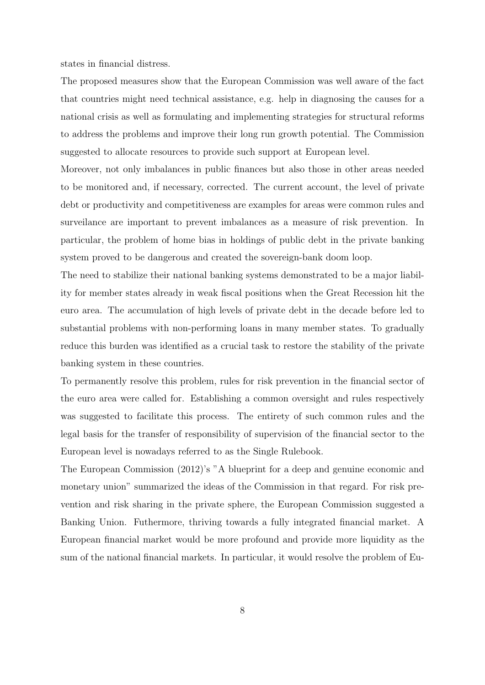states in financial distress.

The proposed measures show that the European Commission was well aware of the fact that countries might need technical assistance, e.g. help in diagnosing the causes for a national crisis as well as formulating and implementing strategies for structural reforms to address the problems and improve their long run growth potential. The Commission suggested to allocate resources to provide such support at European level.

Moreover, not only imbalances in public finances but also those in other areas needed to be monitored and, if necessary, corrected. The current account, the level of private debt or productivity and competitiveness are examples for areas were common rules and surveilance are important to prevent imbalances as a measure of risk prevention. In particular, the problem of home bias in holdings of public debt in the private banking system proved to be dangerous and created the sovereign-bank doom loop.

The need to stabilize their national banking systems demonstrated to be a major liability for member states already in weak fiscal positions when the Great Recession hit the euro area. The accumulation of high levels of private debt in the decade before led to substantial problems with non-performing loans in many member states. To gradually reduce this burden was identified as a crucial task to restore the stability of the private banking system in these countries.

To permanently resolve this problem, rules for risk prevention in the financial sector of the euro area were called for. Establishing a common oversight and rules respectively was suggested to facilitate this process. The entirety of such common rules and the legal basis for the transfer of responsibility of supervision of the financial sector to the European level is nowadays referred to as the Single Rulebook.

The European Commission (2012)'s "A blueprint for a deep and genuine economic and monetary union" summarized the ideas of the Commission in that regard. For risk prevention and risk sharing in the private sphere, the European Commission suggested a Banking Union. Futhermore, thriving towards a fully integrated financial market. A European financial market would be more profound and provide more liquidity as the sum of the national financial markets. In particular, it would resolve the problem of Eu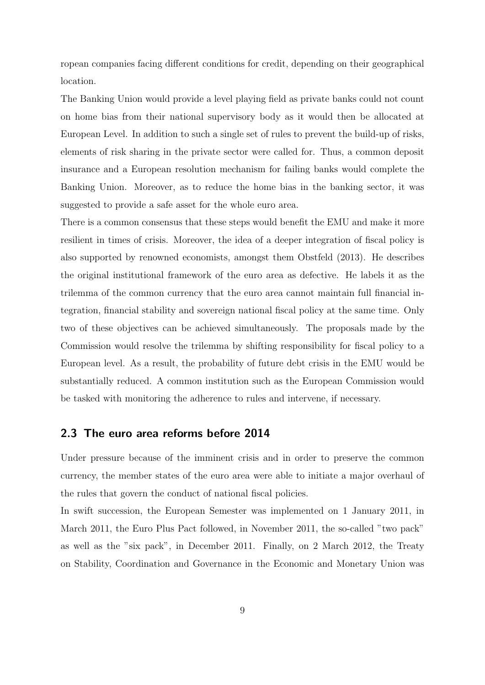ropean companies facing different conditions for credit, depending on their geographical location.

The Banking Union would provide a level playing field as private banks could not count on home bias from their national supervisory body as it would then be allocated at European Level. In addition to such a single set of rules to prevent the build-up of risks, elements of risk sharing in the private sector were called for. Thus, a common deposit insurance and a European resolution mechanism for failing banks would complete the Banking Union. Moreover, as to reduce the home bias in the banking sector, it was suggested to provide a safe asset for the whole euro area.

There is a common consensus that these steps would benefit the EMU and make it more resilient in times of crisis. Moreover, the idea of a deeper integration of fiscal policy is also supported by renowned economists, amongst them Obstfeld (2013). He describes the original institutional framework of the euro area as defective. He labels it as the trilemma of the common currency that the euro area cannot maintain full financial integration, financial stability and sovereign national fiscal policy at the same time. Only two of these objectives can be achieved simultaneously. The proposals made by the Commission would resolve the trilemma by shifting responsibility for fiscal policy to a European level. As a result, the probability of future debt crisis in the EMU would be substantially reduced. A common institution such as the European Commission would be tasked with monitoring the adherence to rules and intervene, if necessary.

#### 2.3 The euro area reforms before 2014

Under pressure because of the imminent crisis and in order to preserve the common currency, the member states of the euro area were able to initiate a major overhaul of the rules that govern the conduct of national fiscal policies.

In swift succession, the European Semester was implemented on 1 January 2011, in March 2011, the Euro Plus Pact followed, in November 2011, the so-called "two pack" as well as the "six pack", in December 2011. Finally, on 2 March 2012, the Treaty on Stability, Coordination and Governance in the Economic and Monetary Union was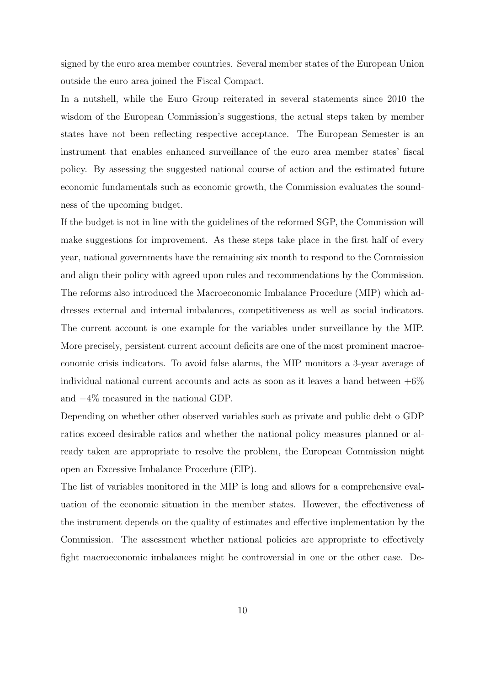signed by the euro area member countries. Several member states of the European Union outside the euro area joined the Fiscal Compact.

In a nutshell, while the Euro Group reiterated in several statements since 2010 the wisdom of the European Commission's suggestions, the actual steps taken by member states have not been reflecting respective acceptance. The European Semester is an instrument that enables enhanced surveillance of the euro area member states' fiscal policy. By assessing the suggested national course of action and the estimated future economic fundamentals such as economic growth, the Commission evaluates the soundness of the upcoming budget.

If the budget is not in line with the guidelines of the reformed SGP, the Commission will make suggestions for improvement. As these steps take place in the first half of every year, national governments have the remaining six month to respond to the Commission and align their policy with agreed upon rules and recommendations by the Commission. The reforms also introduced the Macroeconomic Imbalance Procedure (MIP) which addresses external and internal imbalances, competitiveness as well as social indicators. The current account is one example for the variables under surveillance by the MIP. More precisely, persistent current account deficits are one of the most prominent macroeconomic crisis indicators. To avoid false alarms, the MIP monitors a 3-year average of individual national current accounts and acts as soon as it leaves a band between  $+6\%$ and −4% measured in the national GDP.

Depending on whether other observed variables such as private and public debt o GDP ratios exceed desirable ratios and whether the national policy measures planned or already taken are appropriate to resolve the problem, the European Commission might open an Excessive Imbalance Procedure (EIP).

The list of variables monitored in the MIP is long and allows for a comprehensive evaluation of the economic situation in the member states. However, the effectiveness of the instrument depends on the quality of estimates and effective implementation by the Commission. The assessment whether national policies are appropriate to effectively fight macroeconomic imbalances might be controversial in one or the other case. De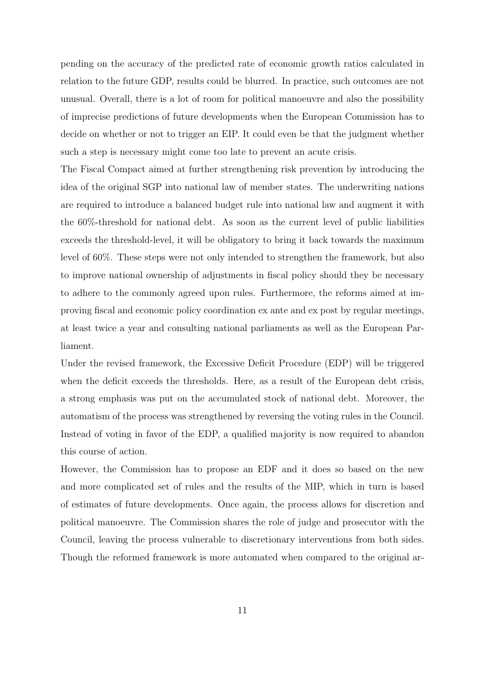pending on the accuracy of the predicted rate of economic growth ratios calculated in relation to the future GDP, results could be blurred. In practice, such outcomes are not unusual. Overall, there is a lot of room for political manoeuvre and also the possibility of imprecise predictions of future developments when the European Commission has to decide on whether or not to trigger an EIP. It could even be that the judgment whether such a step is necessary might come too late to prevent an acute crisis.

The Fiscal Compact aimed at further strengthening risk prevention by introducing the idea of the original SGP into national law of member states. The underwriting nations are required to introduce a balanced budget rule into national law and augment it with the 60%-threshold for national debt. As soon as the current level of public liabilities exceeds the threshold-level, it will be obligatory to bring it back towards the maximum level of 60%. These steps were not only intended to strengthen the framework, but also to improve national ownership of adjustments in fiscal policy should they be necessary to adhere to the commonly agreed upon rules. Furthermore, the reforms aimed at improving fiscal and economic policy coordination ex ante and ex post by regular meetings, at least twice a year and consulting national parliaments as well as the European Parliament.

Under the revised framework, the Excessive Deficit Procedure (EDP) will be triggered when the deficit exceeds the thresholds. Here, as a result of the European debt crisis, a strong emphasis was put on the accumulated stock of national debt. Moreover, the automatism of the process was strengthened by reversing the voting rules in the Council. Instead of voting in favor of the EDP, a qualified majority is now required to abandon this course of action.

However, the Commission has to propose an EDF and it does so based on the new and more complicated set of rules and the results of the MIP, which in turn is based of estimates of future developments. Once again, the process allows for discretion and political manoeuvre. The Commission shares the role of judge and prosecutor with the Council, leaving the process vulnerable to discretionary interventions from both sides. Though the reformed framework is more automated when compared to the original ar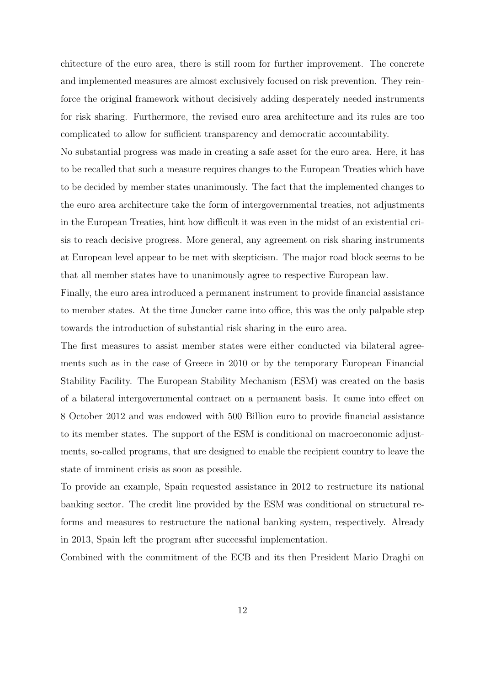chitecture of the euro area, there is still room for further improvement. The concrete and implemented measures are almost exclusively focused on risk prevention. They reinforce the original framework without decisively adding desperately needed instruments for risk sharing. Furthermore, the revised euro area architecture and its rules are too complicated to allow for sufficient transparency and democratic accountability.

No substantial progress was made in creating a safe asset for the euro area. Here, it has to be recalled that such a measure requires changes to the European Treaties which have to be decided by member states unanimously. The fact that the implemented changes to the euro area architecture take the form of intergovernmental treaties, not adjustments in the European Treaties, hint how difficult it was even in the midst of an existential crisis to reach decisive progress. More general, any agreement on risk sharing instruments at European level appear to be met with skepticism. The major road block seems to be that all member states have to unanimously agree to respective European law.

Finally, the euro area introduced a permanent instrument to provide financial assistance to member states. At the time Juncker came into office, this was the only palpable step towards the introduction of substantial risk sharing in the euro area.

The first measures to assist member states were either conducted via bilateral agreements such as in the case of Greece in 2010 or by the temporary European Financial Stability Facility. The European Stability Mechanism (ESM) was created on the basis of a bilateral intergovernmental contract on a permanent basis. It came into effect on 8 October 2012 and was endowed with 500 Billion euro to provide financial assistance to its member states. The support of the ESM is conditional on macroeconomic adjustments, so-called programs, that are designed to enable the recipient country to leave the state of imminent crisis as soon as possible.

To provide an example, Spain requested assistance in 2012 to restructure its national banking sector. The credit line provided by the ESM was conditional on structural reforms and measures to restructure the national banking system, respectively. Already in 2013, Spain left the program after successful implementation.

Combined with the commitment of the ECB and its then President Mario Draghi on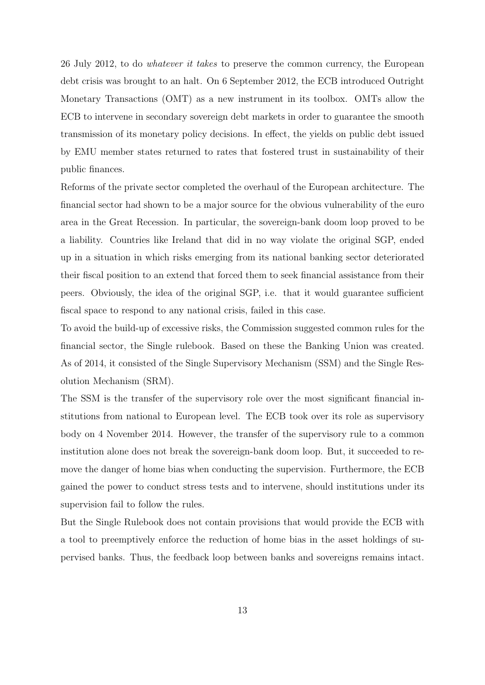26 July 2012, to do whatever it takes to preserve the common currency, the European debt crisis was brought to an halt. On 6 September 2012, the ECB introduced Outright Monetary Transactions (OMT) as a new instrument in its toolbox. OMTs allow the ECB to intervene in secondary sovereign debt markets in order to guarantee the smooth transmission of its monetary policy decisions. In effect, the yields on public debt issued by EMU member states returned to rates that fostered trust in sustainability of their public finances.

Reforms of the private sector completed the overhaul of the European architecture. The financial sector had shown to be a major source for the obvious vulnerability of the euro area in the Great Recession. In particular, the sovereign-bank doom loop proved to be a liability. Countries like Ireland that did in no way violate the original SGP, ended up in a situation in which risks emerging from its national banking sector deteriorated their fiscal position to an extend that forced them to seek financial assistance from their peers. Obviously, the idea of the original SGP, i.e. that it would guarantee sufficient fiscal space to respond to any national crisis, failed in this case.

To avoid the build-up of excessive risks, the Commission suggested common rules for the financial sector, the Single rulebook. Based on these the Banking Union was created. As of 2014, it consisted of the Single Supervisory Mechanism (SSM) and the Single Resolution Mechanism (SRM).

The SSM is the transfer of the supervisory role over the most significant financial institutions from national to European level. The ECB took over its role as supervisory body on 4 November 2014. However, the transfer of the supervisory rule to a common institution alone does not break the sovereign-bank doom loop. But, it succeeded to remove the danger of home bias when conducting the supervision. Furthermore, the ECB gained the power to conduct stress tests and to intervene, should institutions under its supervision fail to follow the rules.

But the Single Rulebook does not contain provisions that would provide the ECB with a tool to preemptively enforce the reduction of home bias in the asset holdings of supervised banks. Thus, the feedback loop between banks and sovereigns remains intact.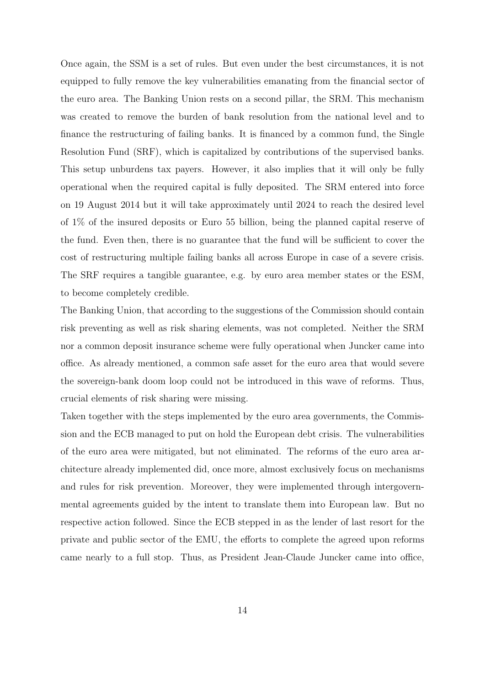Once again, the SSM is a set of rules. But even under the best circumstances, it is not equipped to fully remove the key vulnerabilities emanating from the financial sector of the euro area. The Banking Union rests on a second pillar, the SRM. This mechanism was created to remove the burden of bank resolution from the national level and to finance the restructuring of failing banks. It is financed by a common fund, the Single Resolution Fund (SRF), which is capitalized by contributions of the supervised banks. This setup unburdens tax payers. However, it also implies that it will only be fully operational when the required capital is fully deposited. The SRM entered into force on 19 August 2014 but it will take approximately until 2024 to reach the desired level of 1% of the insured deposits or Euro 55 billion, being the planned capital reserve of the fund. Even then, there is no guarantee that the fund will be sufficient to cover the cost of restructuring multiple failing banks all across Europe in case of a severe crisis. The SRF requires a tangible guarantee, e.g. by euro area member states or the ESM, to become completely credible.

The Banking Union, that according to the suggestions of the Commission should contain risk preventing as well as risk sharing elements, was not completed. Neither the SRM nor a common deposit insurance scheme were fully operational when Juncker came into office. As already mentioned, a common safe asset for the euro area that would severe the sovereign-bank doom loop could not be introduced in this wave of reforms. Thus, crucial elements of risk sharing were missing.

Taken together with the steps implemented by the euro area governments, the Commission and the ECB managed to put on hold the European debt crisis. The vulnerabilities of the euro area were mitigated, but not eliminated. The reforms of the euro area architecture already implemented did, once more, almost exclusively focus on mechanisms and rules for risk prevention. Moreover, they were implemented through intergovernmental agreements guided by the intent to translate them into European law. But no respective action followed. Since the ECB stepped in as the lender of last resort for the private and public sector of the EMU, the efforts to complete the agreed upon reforms came nearly to a full stop. Thus, as President Jean-Claude Juncker came into office,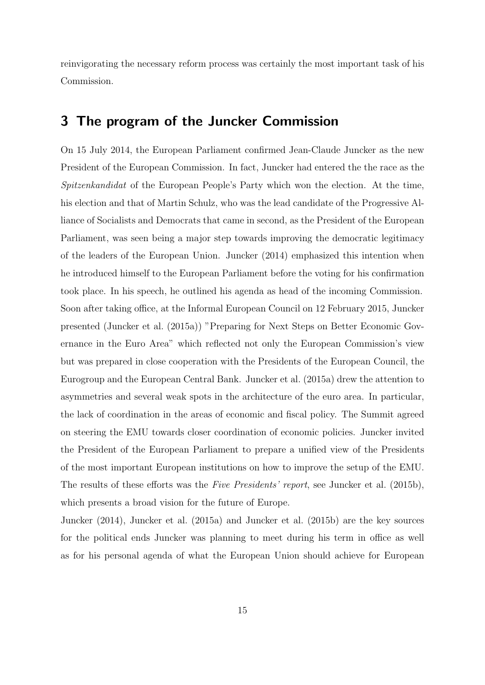reinvigorating the necessary reform process was certainly the most important task of his Commission.

### 3 The program of the Juncker Commission

On 15 July 2014, the European Parliament confirmed Jean-Claude Juncker as the new President of the European Commission. In fact, Juncker had entered the the race as the Spitzenkandidat of the European People's Party which won the election. At the time, his election and that of Martin Schulz, who was the lead candidate of the Progressive Alliance of Socialists and Democrats that came in second, as the President of the European Parliament, was seen being a major step towards improving the democratic legitimacy of the leaders of the European Union. Juncker (2014) emphasized this intention when he introduced himself to the European Parliament before the voting for his confirmation took place. In his speech, he outlined his agenda as head of the incoming Commission. Soon after taking office, at the Informal European Council on 12 February 2015, Juncker presented (Juncker et al. (2015a)) "Preparing for Next Steps on Better Economic Governance in the Euro Area" which reflected not only the European Commission's view but was prepared in close cooperation with the Presidents of the European Council, the Eurogroup and the European Central Bank. Juncker et al. (2015a) drew the attention to asymmetries and several weak spots in the architecture of the euro area. In particular, the lack of coordination in the areas of economic and fiscal policy. The Summit agreed on steering the EMU towards closer coordination of economic policies. Juncker invited the President of the European Parliament to prepare a unified view of the Presidents of the most important European institutions on how to improve the setup of the EMU. The results of these efforts was the Five Presidents' report, see Juncker et al. (2015b), which presents a broad vision for the future of Europe.

Juncker (2014), Juncker et al. (2015a) and Juncker et al. (2015b) are the key sources for the political ends Juncker was planning to meet during his term in office as well as for his personal agenda of what the European Union should achieve for European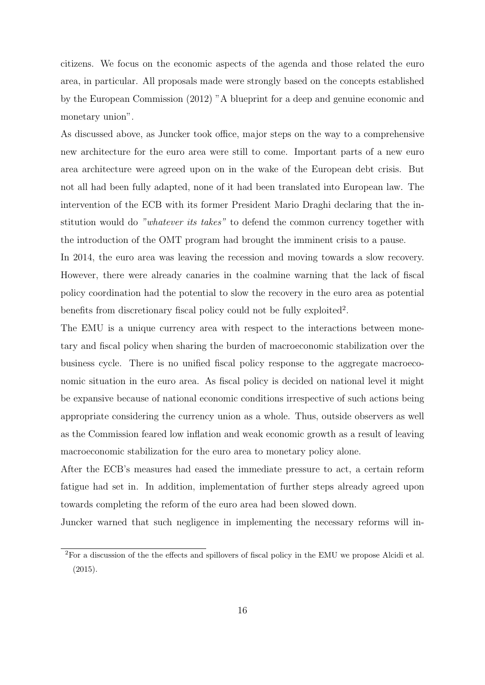citizens. We focus on the economic aspects of the agenda and those related the euro area, in particular. All proposals made were strongly based on the concepts established by the European Commission (2012) "A blueprint for a deep and genuine economic and monetary union".

As discussed above, as Juncker took office, major steps on the way to a comprehensive new architecture for the euro area were still to come. Important parts of a new euro area architecture were agreed upon on in the wake of the European debt crisis. But not all had been fully adapted, none of it had been translated into European law. The intervention of the ECB with its former President Mario Draghi declaring that the institution would do "whatever its takes" to defend the common currency together with the introduction of the OMT program had brought the imminent crisis to a pause.

In 2014, the euro area was leaving the recession and moving towards a slow recovery. However, there were already canaries in the coalmine warning that the lack of fiscal policy coordination had the potential to slow the recovery in the euro area as potential benefits from discretionary fiscal policy could not be fully exploited<sup>2</sup>.

The EMU is a unique currency area with respect to the interactions between monetary and fiscal policy when sharing the burden of macroeconomic stabilization over the business cycle. There is no unified fiscal policy response to the aggregate macroeconomic situation in the euro area. As fiscal policy is decided on national level it might be expansive because of national economic conditions irrespective of such actions being appropriate considering the currency union as a whole. Thus, outside observers as well as the Commission feared low inflation and weak economic growth as a result of leaving macroeconomic stabilization for the euro area to monetary policy alone.

After the ECB's measures had eased the immediate pressure to act, a certain reform fatigue had set in. In addition, implementation of further steps already agreed upon towards completing the reform of the euro area had been slowed down.

Juncker warned that such negligence in implementing the necessary reforms will in-

<sup>2</sup>For a discussion of the the effects and spillovers of fiscal policy in the EMU we propose Alcidi et al. (2015).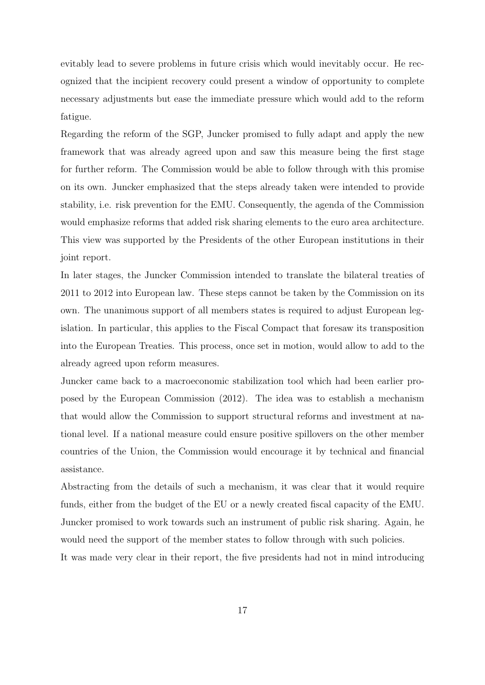evitably lead to severe problems in future crisis which would inevitably occur. He recognized that the incipient recovery could present a window of opportunity to complete necessary adjustments but ease the immediate pressure which would add to the reform fatigue.

Regarding the reform of the SGP, Juncker promised to fully adapt and apply the new framework that was already agreed upon and saw this measure being the first stage for further reform. The Commission would be able to follow through with this promise on its own. Juncker emphasized that the steps already taken were intended to provide stability, i.e. risk prevention for the EMU. Consequently, the agenda of the Commission would emphasize reforms that added risk sharing elements to the euro area architecture. This view was supported by the Presidents of the other European institutions in their joint report.

In later stages, the Juncker Commission intended to translate the bilateral treaties of 2011 to 2012 into European law. These steps cannot be taken by the Commission on its own. The unanimous support of all members states is required to adjust European legislation. In particular, this applies to the Fiscal Compact that foresaw its transposition into the European Treaties. This process, once set in motion, would allow to add to the already agreed upon reform measures.

Juncker came back to a macroeconomic stabilization tool which had been earlier proposed by the European Commission (2012). The idea was to establish a mechanism that would allow the Commission to support structural reforms and investment at national level. If a national measure could ensure positive spillovers on the other member countries of the Union, the Commission would encourage it by technical and financial assistance.

Abstracting from the details of such a mechanism, it was clear that it would require funds, either from the budget of the EU or a newly created fiscal capacity of the EMU. Juncker promised to work towards such an instrument of public risk sharing. Again, he would need the support of the member states to follow through with such policies.

It was made very clear in their report, the five presidents had not in mind introducing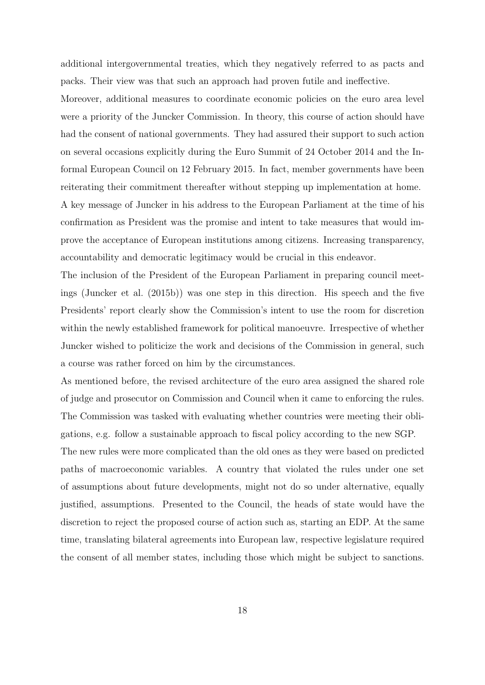additional intergovernmental treaties, which they negatively referred to as pacts and packs. Their view was that such an approach had proven futile and ineffective.

Moreover, additional measures to coordinate economic policies on the euro area level were a priority of the Juncker Commission. In theory, this course of action should have had the consent of national governments. They had assured their support to such action on several occasions explicitly during the Euro Summit of 24 October 2014 and the Informal European Council on 12 February 2015. In fact, member governments have been reiterating their commitment thereafter without stepping up implementation at home.

A key message of Juncker in his address to the European Parliament at the time of his confirmation as President was the promise and intent to take measures that would improve the acceptance of European institutions among citizens. Increasing transparency, accountability and democratic legitimacy would be crucial in this endeavor.

The inclusion of the President of the European Parliament in preparing council meetings (Juncker et al. (2015b)) was one step in this direction. His speech and the five Presidents' report clearly show the Commission's intent to use the room for discretion within the newly established framework for political manoeuvre. Irrespective of whether Juncker wished to politicize the work and decisions of the Commission in general, such a course was rather forced on him by the circumstances.

As mentioned before, the revised architecture of the euro area assigned the shared role of judge and prosecutor on Commission and Council when it came to enforcing the rules. The Commission was tasked with evaluating whether countries were meeting their obligations, e.g. follow a sustainable approach to fiscal policy according to the new SGP.

The new rules were more complicated than the old ones as they were based on predicted paths of macroeconomic variables. A country that violated the rules under one set of assumptions about future developments, might not do so under alternative, equally justified, assumptions. Presented to the Council, the heads of state would have the discretion to reject the proposed course of action such as, starting an EDP. At the same time, translating bilateral agreements into European law, respective legislature required the consent of all member states, including those which might be subject to sanctions.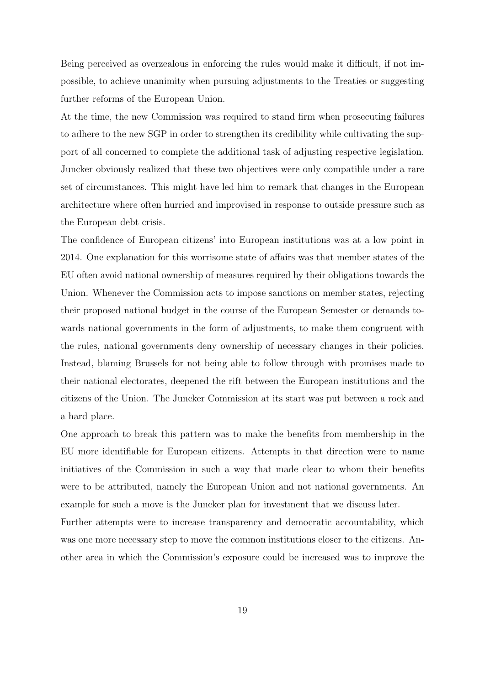Being perceived as overzealous in enforcing the rules would make it difficult, if not impossible, to achieve unanimity when pursuing adjustments to the Treaties or suggesting further reforms of the European Union.

At the time, the new Commission was required to stand firm when prosecuting failures to adhere to the new SGP in order to strengthen its credibility while cultivating the support of all concerned to complete the additional task of adjusting respective legislation. Juncker obviously realized that these two objectives were only compatible under a rare set of circumstances. This might have led him to remark that changes in the European architecture where often hurried and improvised in response to outside pressure such as the European debt crisis.

The confidence of European citizens' into European institutions was at a low point in 2014. One explanation for this worrisome state of affairs was that member states of the EU often avoid national ownership of measures required by their obligations towards the Union. Whenever the Commission acts to impose sanctions on member states, rejecting their proposed national budget in the course of the European Semester or demands towards national governments in the form of adjustments, to make them congruent with the rules, national governments deny ownership of necessary changes in their policies. Instead, blaming Brussels for not being able to follow through with promises made to their national electorates, deepened the rift between the European institutions and the citizens of the Union. The Juncker Commission at its start was put between a rock and a hard place.

One approach to break this pattern was to make the benefits from membership in the EU more identifiable for European citizens. Attempts in that direction were to name initiatives of the Commission in such a way that made clear to whom their benefits were to be attributed, namely the European Union and not national governments. An example for such a move is the Juncker plan for investment that we discuss later.

Further attempts were to increase transparency and democratic accountability, which was one more necessary step to move the common institutions closer to the citizens. Another area in which the Commission's exposure could be increased was to improve the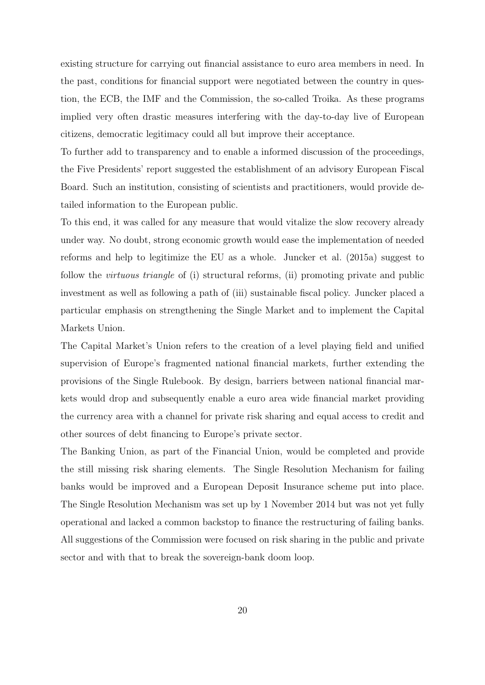existing structure for carrying out financial assistance to euro area members in need. In the past, conditions for financial support were negotiated between the country in question, the ECB, the IMF and the Commission, the so-called Troika. As these programs implied very often drastic measures interfering with the day-to-day live of European citizens, democratic legitimacy could all but improve their acceptance.

To further add to transparency and to enable a informed discussion of the proceedings, the Five Presidents' report suggested the establishment of an advisory European Fiscal Board. Such an institution, consisting of scientists and practitioners, would provide detailed information to the European public.

To this end, it was called for any measure that would vitalize the slow recovery already under way. No doubt, strong economic growth would ease the implementation of needed reforms and help to legitimize the EU as a whole. Juncker et al. (2015a) suggest to follow the virtuous triangle of (i) structural reforms, (ii) promoting private and public investment as well as following a path of (iii) sustainable fiscal policy. Juncker placed a particular emphasis on strengthening the Single Market and to implement the Capital Markets Union.

The Capital Market's Union refers to the creation of a level playing field and unified supervision of Europe's fragmented national financial markets, further extending the provisions of the Single Rulebook. By design, barriers between national financial markets would drop and subsequently enable a euro area wide financial market providing the currency area with a channel for private risk sharing and equal access to credit and other sources of debt financing to Europe's private sector.

The Banking Union, as part of the Financial Union, would be completed and provide the still missing risk sharing elements. The Single Resolution Mechanism for failing banks would be improved and a European Deposit Insurance scheme put into place. The Single Resolution Mechanism was set up by 1 November 2014 but was not yet fully operational and lacked a common backstop to finance the restructuring of failing banks. All suggestions of the Commission were focused on risk sharing in the public and private sector and with that to break the sovereign-bank doom loop.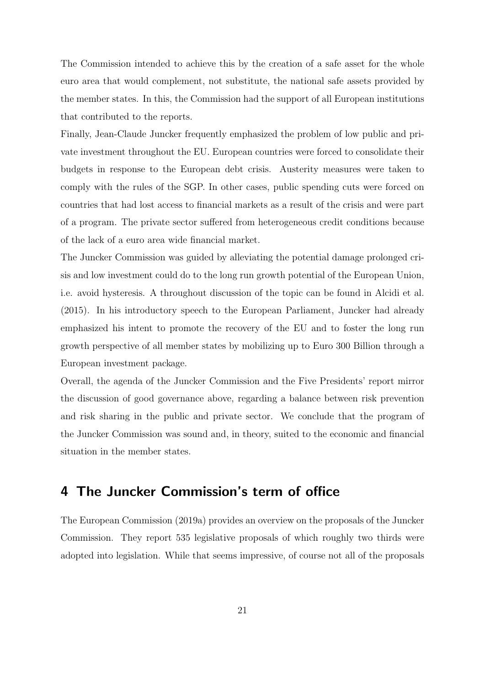The Commission intended to achieve this by the creation of a safe asset for the whole euro area that would complement, not substitute, the national safe assets provided by the member states. In this, the Commission had the support of all European institutions that contributed to the reports.

Finally, Jean-Claude Juncker frequently emphasized the problem of low public and private investment throughout the EU. European countries were forced to consolidate their budgets in response to the European debt crisis. Austerity measures were taken to comply with the rules of the SGP. In other cases, public spending cuts were forced on countries that had lost access to financial markets as a result of the crisis and were part of a program. The private sector suffered from heterogeneous credit conditions because of the lack of a euro area wide financial market.

The Juncker Commission was guided by alleviating the potential damage prolonged crisis and low investment could do to the long run growth potential of the European Union, i.e. avoid hysteresis. A throughout discussion of the topic can be found in Alcidi et al. (2015). In his introductory speech to the European Parliament, Juncker had already emphasized his intent to promote the recovery of the EU and to foster the long run growth perspective of all member states by mobilizing up to Euro 300 Billion through a European investment package.

Overall, the agenda of the Juncker Commission and the Five Presidents' report mirror the discussion of good governance above, regarding a balance between risk prevention and risk sharing in the public and private sector. We conclude that the program of the Juncker Commission was sound and, in theory, suited to the economic and financial situation in the member states.

### 4 The Juncker Commission's term of office

The European Commission (2019a) provides an overview on the proposals of the Juncker Commission. They report 535 legislative proposals of which roughly two thirds were adopted into legislation. While that seems impressive, of course not all of the proposals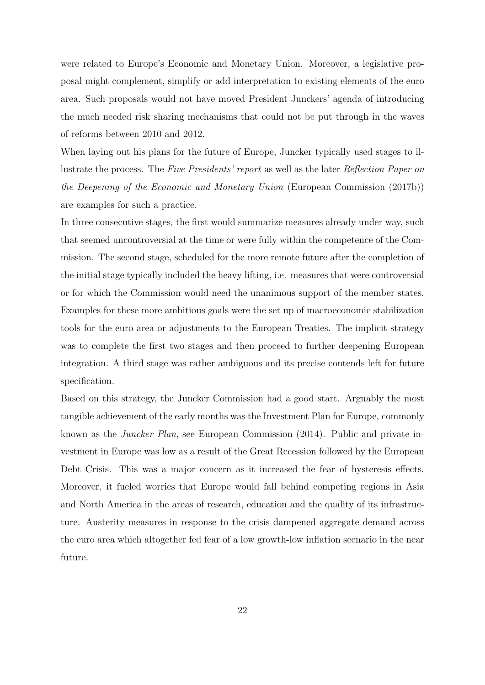were related to Europe's Economic and Monetary Union. Moreover, a legislative proposal might complement, simplify or add interpretation to existing elements of the euro area. Such proposals would not have moved President Junckers' agenda of introducing the much needed risk sharing mechanisms that could not be put through in the waves of reforms between 2010 and 2012.

When laying out his plans for the future of Europe, Juncker typically used stages to illustrate the process. The Five Presidents' report as well as the later Reflection Paper on the Deepening of the Economic and Monetary Union (European Commission (2017b)) are examples for such a practice.

In three consecutive stages, the first would summarize measures already under way, such that seemed uncontroversial at the time or were fully within the competence of the Commission. The second stage, scheduled for the more remote future after the completion of the initial stage typically included the heavy lifting, i.e. measures that were controversial or for which the Commission would need the unanimous support of the member states. Examples for these more ambitious goals were the set up of macroeconomic stabilization tools for the euro area or adjustments to the European Treaties. The implicit strategy was to complete the first two stages and then proceed to further deepening European integration. A third stage was rather ambiguous and its precise contends left for future specification.

Based on this strategy, the Juncker Commission had a good start. Arguably the most tangible achievement of the early months was the Investment Plan for Europe, commonly known as the Juncker Plan, see European Commission (2014). Public and private investment in Europe was low as a result of the Great Recession followed by the European Debt Crisis. This was a major concern as it increased the fear of hysteresis effects. Moreover, it fueled worries that Europe would fall behind competing regions in Asia and North America in the areas of research, education and the quality of its infrastructure. Austerity measures in response to the crisis dampened aggregate demand across the euro area which altogether fed fear of a low growth-low inflation scenario in the near future.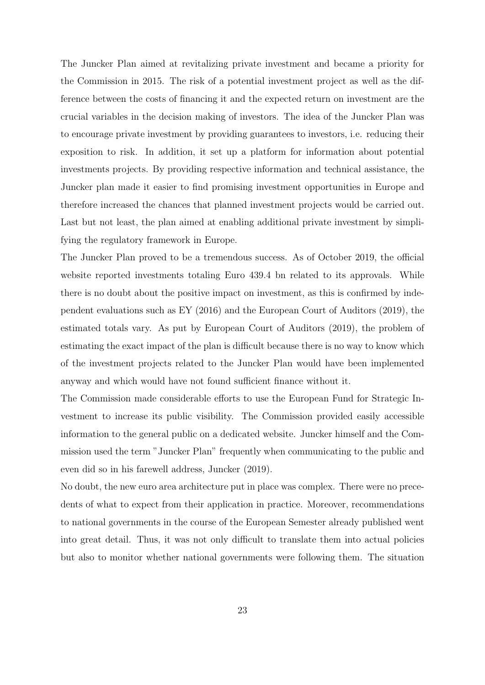The Juncker Plan aimed at revitalizing private investment and became a priority for the Commission in 2015. The risk of a potential investment project as well as the difference between the costs of financing it and the expected return on investment are the crucial variables in the decision making of investors. The idea of the Juncker Plan was to encourage private investment by providing guarantees to investors, i.e. reducing their exposition to risk. In addition, it set up a platform for information about potential investments projects. By providing respective information and technical assistance, the Juncker plan made it easier to find promising investment opportunities in Europe and therefore increased the chances that planned investment projects would be carried out. Last but not least, the plan aimed at enabling additional private investment by simplifying the regulatory framework in Europe.

The Juncker Plan proved to be a tremendous success. As of October 2019, the official website reported investments totaling Euro 439.4 bn related to its approvals. While there is no doubt about the positive impact on investment, as this is confirmed by independent evaluations such as EY (2016) and the European Court of Auditors (2019), the estimated totals vary. As put by European Court of Auditors (2019), the problem of estimating the exact impact of the plan is difficult because there is no way to know which of the investment projects related to the Juncker Plan would have been implemented anyway and which would have not found sufficient finance without it.

The Commission made considerable efforts to use the European Fund for Strategic Investment to increase its public visibility. The Commission provided easily accessible information to the general public on a dedicated website. Juncker himself and the Commission used the term "Juncker Plan" frequently when communicating to the public and even did so in his farewell address, Juncker (2019).

No doubt, the new euro area architecture put in place was complex. There were no precedents of what to expect from their application in practice. Moreover, recommendations to national governments in the course of the European Semester already published went into great detail. Thus, it was not only difficult to translate them into actual policies but also to monitor whether national governments were following them. The situation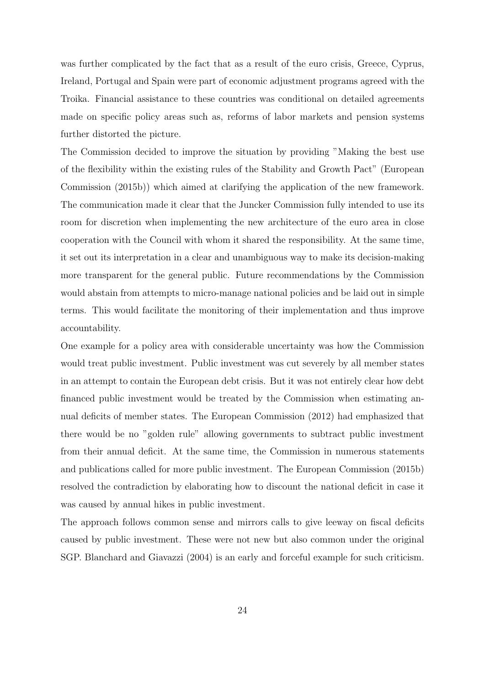was further complicated by the fact that as a result of the euro crisis, Greece, Cyprus, Ireland, Portugal and Spain were part of economic adjustment programs agreed with the Troika. Financial assistance to these countries was conditional on detailed agreements made on specific policy areas such as, reforms of labor markets and pension systems further distorted the picture.

The Commission decided to improve the situation by providing "Making the best use of the flexibility within the existing rules of the Stability and Growth Pact" (European Commission (2015b)) which aimed at clarifying the application of the new framework. The communication made it clear that the Juncker Commission fully intended to use its room for discretion when implementing the new architecture of the euro area in close cooperation with the Council with whom it shared the responsibility. At the same time, it set out its interpretation in a clear and unambiguous way to make its decision-making more transparent for the general public. Future recommendations by the Commission would abstain from attempts to micro-manage national policies and be laid out in simple terms. This would facilitate the monitoring of their implementation and thus improve accountability.

One example for a policy area with considerable uncertainty was how the Commission would treat public investment. Public investment was cut severely by all member states in an attempt to contain the European debt crisis. But it was not entirely clear how debt financed public investment would be treated by the Commission when estimating annual deficits of member states. The European Commission (2012) had emphasized that there would be no "golden rule" allowing governments to subtract public investment from their annual deficit. At the same time, the Commission in numerous statements and publications called for more public investment. The European Commission (2015b) resolved the contradiction by elaborating how to discount the national deficit in case it was caused by annual hikes in public investment.

The approach follows common sense and mirrors calls to give leeway on fiscal deficits caused by public investment. These were not new but also common under the original SGP. Blanchard and Giavazzi (2004) is an early and forceful example for such criticism.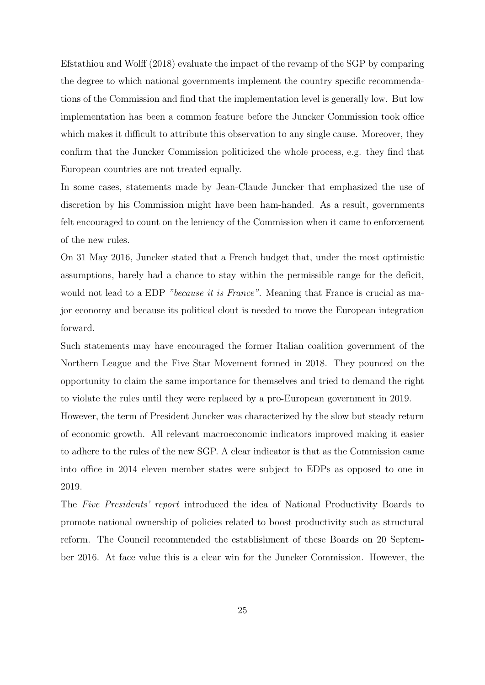Efstathiou and Wolff (2018) evaluate the impact of the revamp of the SGP by comparing the degree to which national governments implement the country specific recommendations of the Commission and find that the implementation level is generally low. But low implementation has been a common feature before the Juncker Commission took office which makes it difficult to attribute this observation to any single cause. Moreover, they confirm that the Juncker Commission politicized the whole process, e.g. they find that European countries are not treated equally.

In some cases, statements made by Jean-Claude Juncker that emphasized the use of discretion by his Commission might have been ham-handed. As a result, governments felt encouraged to count on the leniency of the Commission when it came to enforcement of the new rules.

On 31 May 2016, Juncker stated that a French budget that, under the most optimistic assumptions, barely had a chance to stay within the permissible range for the deficit, would not lead to a EDP "because it is France". Meaning that France is crucial as major economy and because its political clout is needed to move the European integration forward.

Such statements may have encouraged the former Italian coalition government of the Northern League and the Five Star Movement formed in 2018. They pounced on the opportunity to claim the same importance for themselves and tried to demand the right to violate the rules until they were replaced by a pro-European government in 2019.

However, the term of President Juncker was characterized by the slow but steady return of economic growth. All relevant macroeconomic indicators improved making it easier to adhere to the rules of the new SGP. A clear indicator is that as the Commission came into office in 2014 eleven member states were subject to EDPs as opposed to one in 2019.

The Five Presidents' report introduced the idea of National Productivity Boards to promote national ownership of policies related to boost productivity such as structural reform. The Council recommended the establishment of these Boards on 20 September 2016. At face value this is a clear win for the Juncker Commission. However, the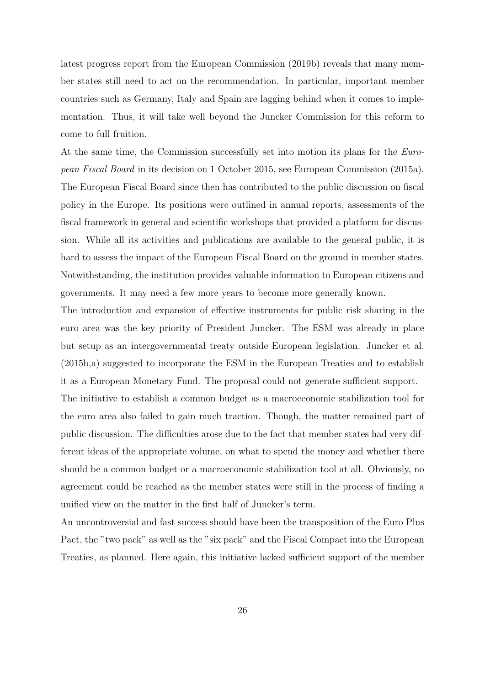latest progress report from the European Commission (2019b) reveals that many member states still need to act on the recommendation. In particular, important member countries such as Germany, Italy and Spain are lagging behind when it comes to implementation. Thus, it will take well beyond the Juncker Commission for this reform to come to full fruition.

At the same time, the Commission successfully set into motion its plans for the *Euro*pean Fiscal Board in its decision on 1 October 2015, see European Commission (2015a). The European Fiscal Board since then has contributed to the public discussion on fiscal policy in the Europe. Its positions were outlined in annual reports, assessments of the fiscal framework in general and scientific workshops that provided a platform for discussion. While all its activities and publications are available to the general public, it is hard to assess the impact of the European Fiscal Board on the ground in member states. Notwithstanding, the institution provides valuable information to European citizens and governments. It may need a few more years to become more generally known.

The introduction and expansion of effective instruments for public risk sharing in the euro area was the key priority of President Juncker. The ESM was already in place but setup as an intergovernmental treaty outside European legislation. Juncker et al. (2015b,a) suggested to incorporate the ESM in the European Treaties and to establish it as a European Monetary Fund. The proposal could not generate sufficient support.

The initiative to establish a common budget as a macroeconomic stabilization tool for the euro area also failed to gain much traction. Though, the matter remained part of public discussion. The difficulties arose due to the fact that member states had very different ideas of the appropriate volume, on what to spend the money and whether there should be a common budget or a macroeconomic stabilization tool at all. Obviously, no agreement could be reached as the member states were still in the process of finding a unified view on the matter in the first half of Juncker's term.

An uncontroversial and fast success should have been the transposition of the Euro Plus Pact, the "two pack" as well as the "six pack" and the Fiscal Compact into the European Treaties, as planned. Here again, this initiative lacked sufficient support of the member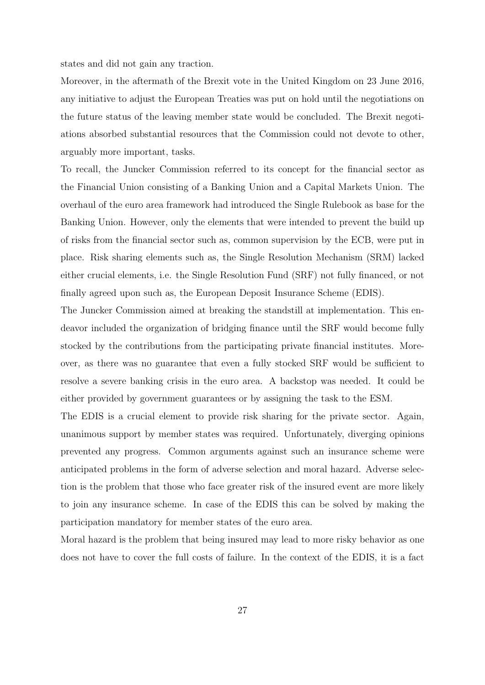states and did not gain any traction.

Moreover, in the aftermath of the Brexit vote in the United Kingdom on 23 June 2016, any initiative to adjust the European Treaties was put on hold until the negotiations on the future status of the leaving member state would be concluded. The Brexit negotiations absorbed substantial resources that the Commission could not devote to other, arguably more important, tasks.

To recall, the Juncker Commission referred to its concept for the financial sector as the Financial Union consisting of a Banking Union and a Capital Markets Union. The overhaul of the euro area framework had introduced the Single Rulebook as base for the Banking Union. However, only the elements that were intended to prevent the build up of risks from the financial sector such as, common supervision by the ECB, were put in place. Risk sharing elements such as, the Single Resolution Mechanism (SRM) lacked either crucial elements, i.e. the Single Resolution Fund (SRF) not fully financed, or not finally agreed upon such as, the European Deposit Insurance Scheme (EDIS).

The Juncker Commission aimed at breaking the standstill at implementation. This endeavor included the organization of bridging finance until the SRF would become fully stocked by the contributions from the participating private financial institutes. Moreover, as there was no guarantee that even a fully stocked SRF would be sufficient to resolve a severe banking crisis in the euro area. A backstop was needed. It could be either provided by government guarantees or by assigning the task to the ESM.

The EDIS is a crucial element to provide risk sharing for the private sector. Again, unanimous support by member states was required. Unfortunately, diverging opinions prevented any progress. Common arguments against such an insurance scheme were anticipated problems in the form of adverse selection and moral hazard. Adverse selection is the problem that those who face greater risk of the insured event are more likely to join any insurance scheme. In case of the EDIS this can be solved by making the participation mandatory for member states of the euro area.

Moral hazard is the problem that being insured may lead to more risky behavior as one does not have to cover the full costs of failure. In the context of the EDIS, it is a fact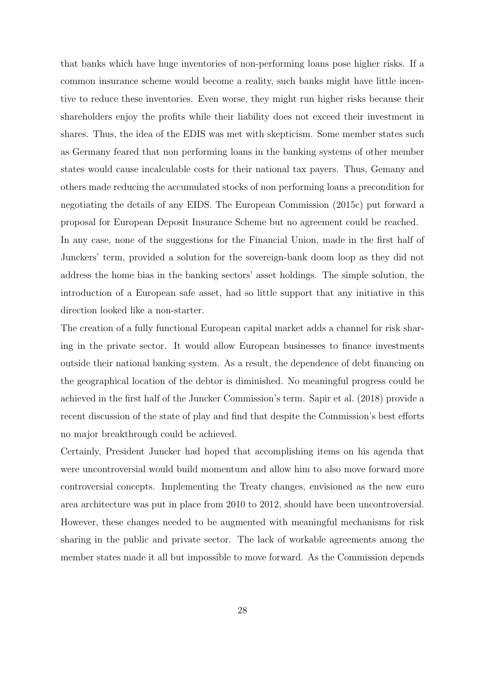that banks which have huge inventories of non-performing loans pose higher risks. If a common insurance scheme would become a reality, such banks might have little incentive to reduce these inventories. Even worse, they might run higher risks because their shareholders enjoy the profits while their liability does not exceed their investment in shares. Thus, the idea of the EDIS was met with skepticism. Some member states such as Germany feared that non performing loans in the banking systems of other member states would cause incalculable costs for their national tax payers. Thus, Gemany and others made reducing the accumulated stocks of non performing loans a precondition for negotiating the details of any EIDS. The European Commission (2015c) put forward a proposal for European Deposit Insurance Scheme but no agreement could be reached. In any case, none of the suggestions for the Financial Union, made in the first half of

Junckers' term, provided a solution for the sovereign-bank doom loop as they did not address the home bias in the banking sectors' asset holdings. The simple solution, the introduction of a European safe asset, had so little support that any initiative in this direction looked like a non-starter.

The creation of a fully functional European capital market adds a channel for risk sharing in the private sector. It would allow European businesses to finance investments outside their national banking system. As a result, the dependence of debt financing on the geographical location of the debtor is diminished. No meaningful progress could be achieved in the first half of the Juncker Commission's term. Sapir et al. (2018) provide a recent discussion of the state of play and find that despite the Commission's best efforts no major breakthrough could be achieved.

Certainly, President Juncker had hoped that accomplishing items on his agenda that were uncontroversial would build momentum and allow him to also move forward more controversial concepts. Implementing the Treaty changes, envisioned as the new euro area architecture was put in place from 2010 to 2012, should have been uncontroversial. However, these changes needed to be augmented with meaningful mechanisms for risk sharing in the public and private sector. The lack of workable agreements among the member states made it all but impossible to move forward. As the Commission depends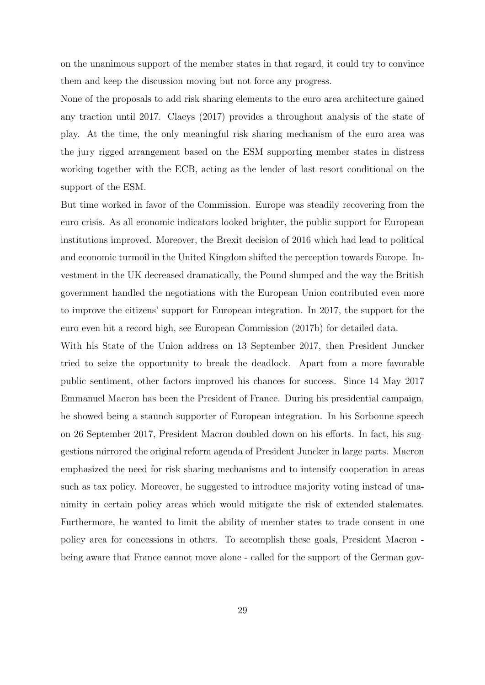on the unanimous support of the member states in that regard, it could try to convince them and keep the discussion moving but not force any progress.

None of the proposals to add risk sharing elements to the euro area architecture gained any traction until 2017. Claeys (2017) provides a throughout analysis of the state of play. At the time, the only meaningful risk sharing mechanism of the euro area was the jury rigged arrangement based on the ESM supporting member states in distress working together with the ECB, acting as the lender of last resort conditional on the support of the ESM.

But time worked in favor of the Commission. Europe was steadily recovering from the euro crisis. As all economic indicators looked brighter, the public support for European institutions improved. Moreover, the Brexit decision of 2016 which had lead to political and economic turmoil in the United Kingdom shifted the perception towards Europe. Investment in the UK decreased dramatically, the Pound slumped and the way the British government handled the negotiations with the European Union contributed even more to improve the citizens' support for European integration. In 2017, the support for the euro even hit a record high, see European Commission (2017b) for detailed data.

With his State of the Union address on 13 September 2017, then President Juncker tried to seize the opportunity to break the deadlock. Apart from a more favorable public sentiment, other factors improved his chances for success. Since 14 May 2017 Emmanuel Macron has been the President of France. During his presidential campaign, he showed being a staunch supporter of European integration. In his Sorbonne speech on 26 September 2017, President Macron doubled down on his efforts. In fact, his suggestions mirrored the original reform agenda of President Juncker in large parts. Macron emphasized the need for risk sharing mechanisms and to intensify cooperation in areas such as tax policy. Moreover, he suggested to introduce majority voting instead of unanimity in certain policy areas which would mitigate the risk of extended stalemates. Furthermore, he wanted to limit the ability of member states to trade consent in one policy area for concessions in others. To accomplish these goals, President Macron being aware that France cannot move alone - called for the support of the German gov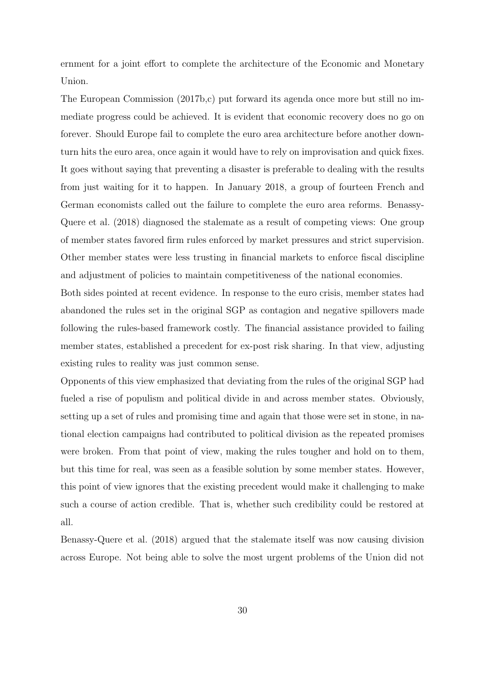ernment for a joint effort to complete the architecture of the Economic and Monetary Union.

The European Commission (2017b,c) put forward its agenda once more but still no immediate progress could be achieved. It is evident that economic recovery does no go on forever. Should Europe fail to complete the euro area architecture before another downturn hits the euro area, once again it would have to rely on improvisation and quick fixes. It goes without saying that preventing a disaster is preferable to dealing with the results from just waiting for it to happen. In January 2018, a group of fourteen French and German economists called out the failure to complete the euro area reforms. Benassy-Quere et al. (2018) diagnosed the stalemate as a result of competing views: One group of member states favored firm rules enforced by market pressures and strict supervision. Other member states were less trusting in financial markets to enforce fiscal discipline and adjustment of policies to maintain competitiveness of the national economies.

Both sides pointed at recent evidence. In response to the euro crisis, member states had abandoned the rules set in the original SGP as contagion and negative spillovers made following the rules-based framework costly. The financial assistance provided to failing member states, established a precedent for ex-post risk sharing. In that view, adjusting existing rules to reality was just common sense.

Opponents of this view emphasized that deviating from the rules of the original SGP had fueled a rise of populism and political divide in and across member states. Obviously, setting up a set of rules and promising time and again that those were set in stone, in national election campaigns had contributed to political division as the repeated promises were broken. From that point of view, making the rules tougher and hold on to them, but this time for real, was seen as a feasible solution by some member states. However, this point of view ignores that the existing precedent would make it challenging to make such a course of action credible. That is, whether such credibility could be restored at all.

Benassy-Quere et al. (2018) argued that the stalemate itself was now causing division across Europe. Not being able to solve the most urgent problems of the Union did not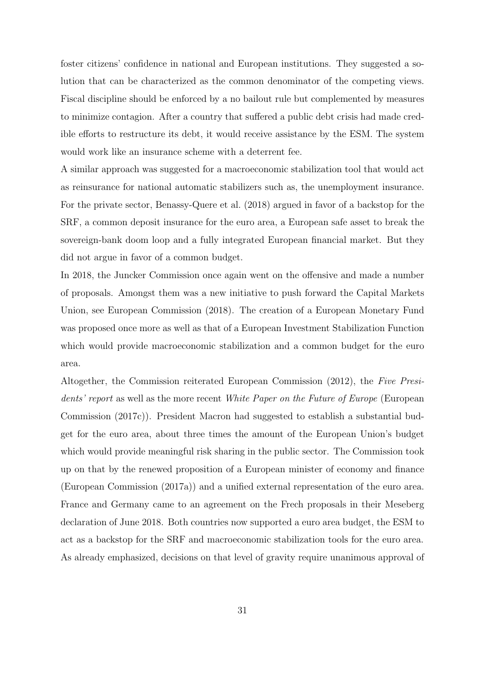foster citizens' confidence in national and European institutions. They suggested a solution that can be characterized as the common denominator of the competing views. Fiscal discipline should be enforced by a no bailout rule but complemented by measures to minimize contagion. After a country that suffered a public debt crisis had made credible efforts to restructure its debt, it would receive assistance by the ESM. The system would work like an insurance scheme with a deterrent fee.

A similar approach was suggested for a macroeconomic stabilization tool that would act as reinsurance for national automatic stabilizers such as, the unemployment insurance. For the private sector, Benassy-Quere et al. (2018) argued in favor of a backstop for the SRF, a common deposit insurance for the euro area, a European safe asset to break the sovereign-bank doom loop and a fully integrated European financial market. But they did not argue in favor of a common budget.

In 2018, the Juncker Commission once again went on the offensive and made a number of proposals. Amongst them was a new initiative to push forward the Capital Markets Union, see European Commission (2018). The creation of a European Monetary Fund was proposed once more as well as that of a European Investment Stabilization Function which would provide macroeconomic stabilization and a common budget for the euro area.

Altogether, the Commission reiterated European Commission (2012), the Five Presidents' report as well as the more recent White Paper on the Future of Europe (European Commission (2017c)). President Macron had suggested to establish a substantial budget for the euro area, about three times the amount of the European Union's budget which would provide meaningful risk sharing in the public sector. The Commission took up on that by the renewed proposition of a European minister of economy and finance (European Commission (2017a)) and a unified external representation of the euro area. France and Germany came to an agreement on the Frech proposals in their Meseberg declaration of June 2018. Both countries now supported a euro area budget, the ESM to act as a backstop for the SRF and macroeconomic stabilization tools for the euro area. As already emphasized, decisions on that level of gravity require unanimous approval of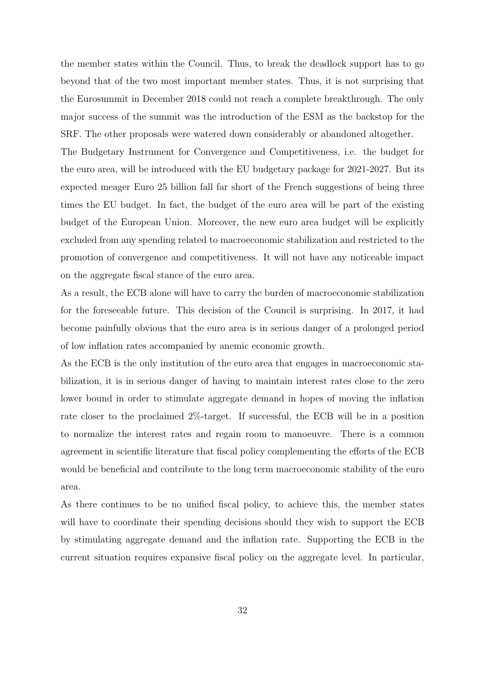the member states within the Council. Thus, to break the deadlock support has to go beyond that of the two most important member states. Thus, it is not surprising that the Eurosummit in December 2018 could not reach a complete breakthrough. The only major success of the summit was the introduction of the ESM as the backstop for the SRF. The other proposals were watered down considerably or abandoned altogether.

The Budgetary Instrument for Convergence and Competitiveness, i.e. the budget for the euro area, will be introduced with the EU budgetary package for 2021-2027. But its expected meager Euro 25 billion fall far short of the French suggestions of being three times the EU budget. In fact, the budget of the euro area will be part of the existing budget of the European Union. Moreover, the new euro area budget will be explicitly excluded from any spending related to macroeconomic stabilization and restricted to the promotion of convergence and competitiveness. It will not have any noticeable impact on the aggregate fiscal stance of the euro area.

As a result, the ECB alone will have to carry the burden of macroeconomic stabilization for the foreseeable future. This decision of the Council is surprising. In 2017, it had become painfully obvious that the euro area is in serious danger of a prolonged period of low inflation rates accompanied by anemic economic growth.

As the ECB is the only institution of the euro area that engages in macroeconomic stabilization, it is in serious danger of having to maintain interest rates close to the zero lower bound in order to stimulate aggregate demand in hopes of moving the inflation rate closer to the proclaimed 2%-target. If successful, the ECB will be in a position to normalize the interest rates and regain room to manoeuvre. There is a common agreement in scientific literature that fiscal policy complementing the efforts of the ECB would be beneficial and contribute to the long term macroeconomic stability of the euro area.

As there continues to be no unified fiscal policy, to achieve this, the member states will have to coordinate their spending decisions should they wish to support the ECB by stimulating aggregate demand and the inflation rate. Supporting the ECB in the current situation requires expansive fiscal policy on the aggregate level. In particular,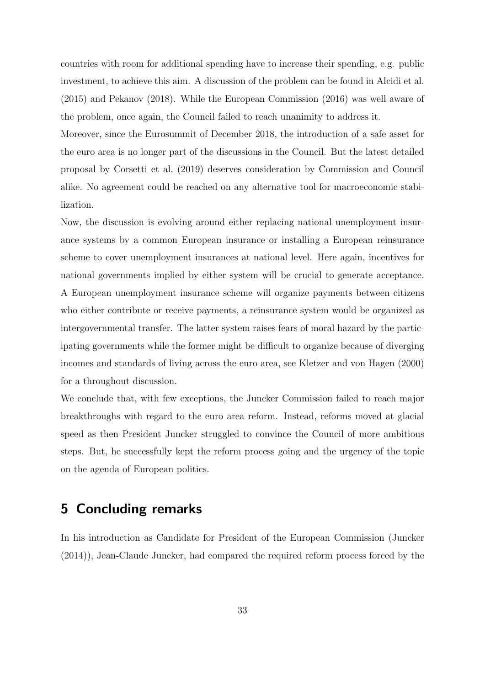countries with room for additional spending have to increase their spending, e.g. public investment, to achieve this aim. A discussion of the problem can be found in Alcidi et al. (2015) and Pekanov (2018). While the European Commission (2016) was well aware of the problem, once again, the Council failed to reach unanimity to address it.

Moreover, since the Eurosummit of December 2018, the introduction of a safe asset for the euro area is no longer part of the discussions in the Council. But the latest detailed proposal by Corsetti et al. (2019) deserves consideration by Commission and Council alike. No agreement could be reached on any alternative tool for macroeconomic stabilization.

Now, the discussion is evolving around either replacing national unemployment insurance systems by a common European insurance or installing a European reinsurance scheme to cover unemployment insurances at national level. Here again, incentives for national governments implied by either system will be crucial to generate acceptance. A European unemployment insurance scheme will organize payments between citizens who either contribute or receive payments, a reinsurance system would be organized as intergovernmental transfer. The latter system raises fears of moral hazard by the participating governments while the former might be difficult to organize because of diverging incomes and standards of living across the euro area, see Kletzer and von Hagen (2000) for a throughout discussion.

We conclude that, with few exceptions, the Juncker Commission failed to reach major breakthroughs with regard to the euro area reform. Instead, reforms moved at glacial speed as then President Juncker struggled to convince the Council of more ambitious steps. But, he successfully kept the reform process going and the urgency of the topic on the agenda of European politics.

## 5 Concluding remarks

In his introduction as Candidate for President of the European Commission (Juncker (2014)), Jean-Claude Juncker, had compared the required reform process forced by the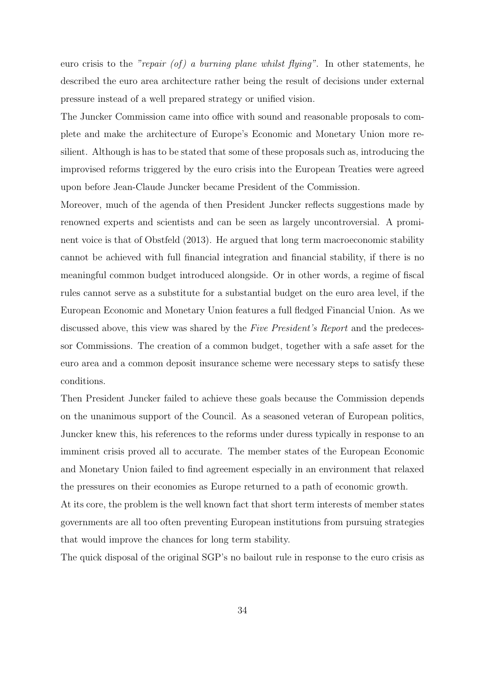euro crisis to the "repair (of) a burning plane whilst flying". In other statements, he described the euro area architecture rather being the result of decisions under external pressure instead of a well prepared strategy or unified vision.

The Juncker Commission came into office with sound and reasonable proposals to complete and make the architecture of Europe's Economic and Monetary Union more resilient. Although is has to be stated that some of these proposals such as, introducing the improvised reforms triggered by the euro crisis into the European Treaties were agreed upon before Jean-Claude Juncker became President of the Commission.

Moreover, much of the agenda of then President Juncker reflects suggestions made by renowned experts and scientists and can be seen as largely uncontroversial. A prominent voice is that of Obstfeld (2013). He argued that long term macroeconomic stability cannot be achieved with full financial integration and financial stability, if there is no meaningful common budget introduced alongside. Or in other words, a regime of fiscal rules cannot serve as a substitute for a substantial budget on the euro area level, if the European Economic and Monetary Union features a full fledged Financial Union. As we discussed above, this view was shared by the Five President's Report and the predecessor Commissions. The creation of a common budget, together with a safe asset for the euro area and a common deposit insurance scheme were necessary steps to satisfy these conditions.

Then President Juncker failed to achieve these goals because the Commission depends on the unanimous support of the Council. As a seasoned veteran of European politics, Juncker knew this, his references to the reforms under duress typically in response to an imminent crisis proved all to accurate. The member states of the European Economic and Monetary Union failed to find agreement especially in an environment that relaxed the pressures on their economies as Europe returned to a path of economic growth.

At its core, the problem is the well known fact that short term interests of member states governments are all too often preventing European institutions from pursuing strategies that would improve the chances for long term stability.

The quick disposal of the original SGP's no bailout rule in response to the euro crisis as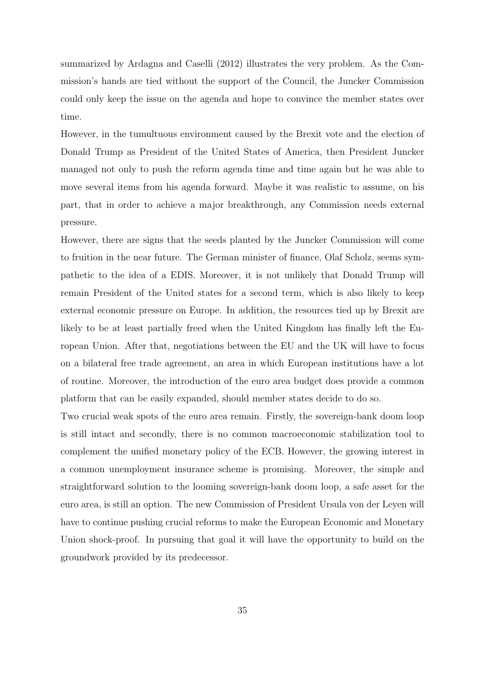summarized by Ardagna and Caselli (2012) illustrates the very problem. As the Commission's hands are tied without the support of the Council, the Juncker Commission could only keep the issue on the agenda and hope to convince the member states over time.

However, in the tumultuous environment caused by the Brexit vote and the election of Donald Trump as President of the United States of America, then President Juncker managed not only to push the reform agenda time and time again but he was able to move several items from his agenda forward. Maybe it was realistic to assume, on his part, that in order to achieve a major breakthrough, any Commission needs external pressure.

However, there are signs that the seeds planted by the Juncker Commission will come to fruition in the near future. The German minister of finance, Olaf Scholz, seems sympathetic to the idea of a EDIS. Moreover, it is not unlikely that Donald Trump will remain President of the United states for a second term, which is also likely to keep external economic pressure on Europe. In addition, the resources tied up by Brexit are likely to be at least partially freed when the United Kingdom has finally left the European Union. After that, negotiations between the EU and the UK will have to focus on a bilateral free trade agreement, an area in which European institutions have a lot of routine. Moreover, the introduction of the euro area budget does provide a common platform that can be easily expanded, should member states decide to do so.

Two crucial weak spots of the euro area remain. Firstly, the sovereign-bank doom loop is still intact and secondly, there is no common macroeconomic stabilization tool to complement the unified monetary policy of the ECB. However, the growing interest in a common unemployment insurance scheme is promising. Moreover, the simple and straightforward solution to the looming sovereign-bank doom loop, a safe asset for the euro area, is still an option. The new Commission of President Ursula von der Leyen will have to continue pushing crucial reforms to make the European Economic and Monetary Union shock-proof. In pursuing that goal it will have the opportunity to build on the groundwork provided by its predecessor.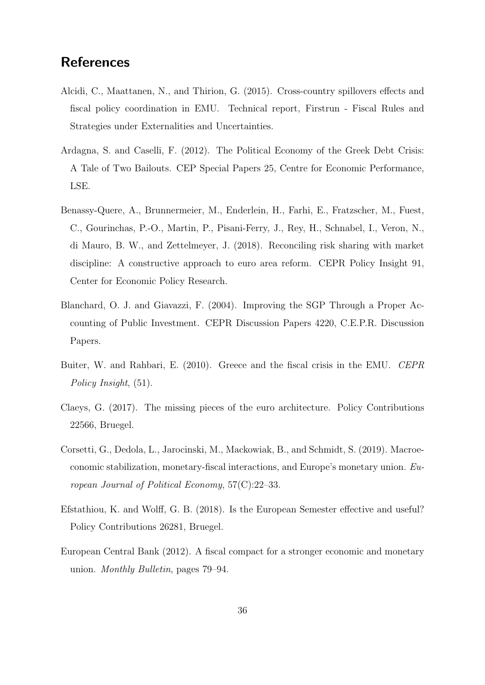## **References**

- Alcidi, C., Maattanen, N., and Thirion, G. (2015). Cross-country spillovers effects and fiscal policy coordination in EMU. Technical report, Firstrun - Fiscal Rules and Strategies under Externalities and Uncertainties.
- Ardagna, S. and Caselli, F. (2012). The Political Economy of the Greek Debt Crisis: A Tale of Two Bailouts. CEP Special Papers 25, Centre for Economic Performance, LSE.
- Benassy-Quere, A., Brunnermeier, M., Enderlein, H., Farhi, E., Fratzscher, M., Fuest, C., Gourinchas, P.-O., Martin, P., Pisani-Ferry, J., Rey, H., Schnabel, I., Veron, N., di Mauro, B. W., and Zettelmeyer, J. (2018). Reconciling risk sharing with market discipline: A constructive approach to euro area reform. CEPR Policy Insight 91, Center for Economic Policy Research.
- Blanchard, O. J. and Giavazzi, F. (2004). Improving the SGP Through a Proper Accounting of Public Investment. CEPR Discussion Papers 4220, C.E.P.R. Discussion Papers.
- Buiter, W. and Rahbari, E. (2010). Greece and the fiscal crisis in the EMU. CEPR Policy Insight, (51).
- Claeys, G. (2017). The missing pieces of the euro architecture. Policy Contributions 22566, Bruegel.
- Corsetti, G., Dedola, L., Jarocinski, M., Mackowiak, B., and Schmidt, S. (2019). Macroeconomic stabilization, monetary-fiscal interactions, and Europe's monetary union. European Journal of Political Economy, 57(C):22–33.
- Efstathiou, K. and Wolff, G. B. (2018). Is the European Semester effective and useful? Policy Contributions 26281, Bruegel.
- European Central Bank (2012). A fiscal compact for a stronger economic and monetary union. Monthly Bulletin, pages 79–94.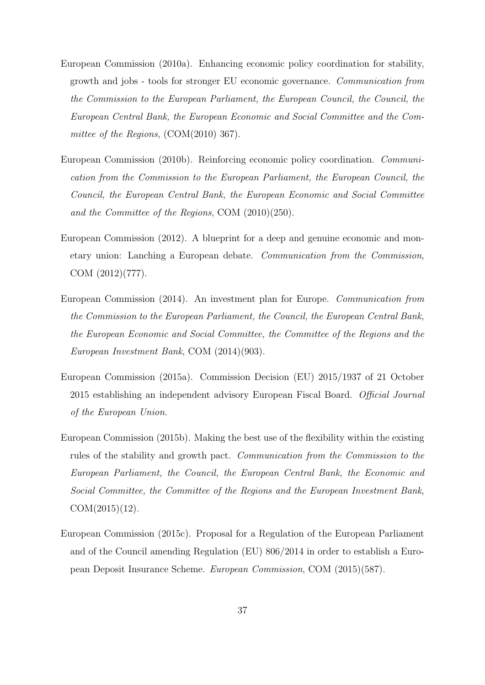- European Commission (2010a). Enhancing economic policy coordination for stability, growth and jobs - tools for stronger EU economic governance. Communication from the Commission to the European Parliament, the European Council, the Council, the European Central Bank, the European Economic and Social Committee and the Committee of the Regions, (COM(2010) 367).
- European Commission (2010b). Reinforcing economic policy coordination. Communication from the Commission to the European Parliament, the European Council, the Council, the European Central Bank, the European Economic and Social Committee and the Committee of the Regions, COM (2010)(250).
- European Commission (2012). A blueprint for a deep and genuine economic and monetary union: Lanching a European debate. Communication from the Commission, COM (2012)(777).
- European Commission (2014). An investment plan for Europe. Communication from the Commission to the European Parliament, the Council, the European Central Bank, the European Economic and Social Committee, the Committee of the Regions and the European Investment Bank, COM (2014)(903).
- European Commission (2015a). Commission Decision (EU) 2015/1937 of 21 October 2015 establishing an independent advisory European Fiscal Board. Official Journal of the European Union.
- European Commission (2015b). Making the best use of the flexibility within the existing rules of the stability and growth pact. Communication from the Commission to the European Parliament, the Council, the European Central Bank, the Economic and Social Committee, the Committee of the Regions and the European Investment Bank,  $COM(2015)(12)$ .
- European Commission (2015c). Proposal for a Regulation of the European Parliament and of the Council amending Regulation (EU) 806/2014 in order to establish a European Deposit Insurance Scheme. European Commission, COM (2015)(587).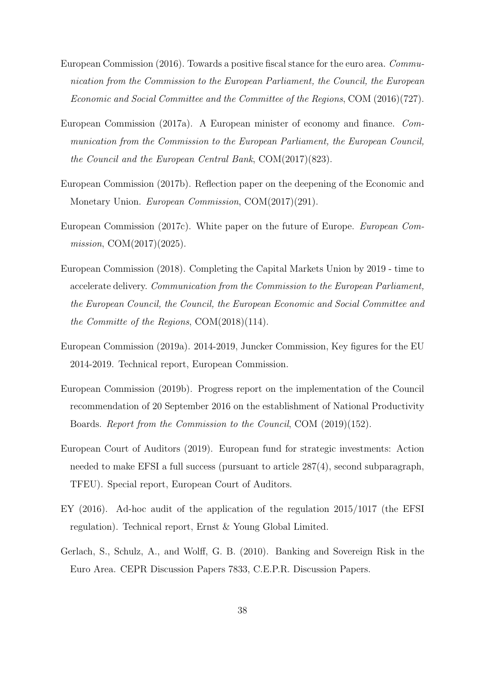- European Commission (2016). Towards a positive fiscal stance for the euro area. Communication from the Commission to the European Parliament, the Council, the European Economic and Social Committee and the Committee of the Regions, COM (2016)(727).
- European Commission (2017a). A European minister of economy and finance. Communication from the Commission to the European Parliament, the European Council, the Council and the European Central Bank, COM(2017)(823).
- European Commission (2017b). Reflection paper on the deepening of the Economic and Monetary Union. European Commission, COM(2017)(291).
- European Commission (2017c). White paper on the future of Europe. European Commission, COM(2017)(2025).
- European Commission (2018). Completing the Capital Markets Union by 2019 time to accelerate delivery. Communication from the Commission to the European Parliament, the European Council, the Council, the European Economic and Social Committee and the Committe of the Regions, COM(2018)(114).
- European Commission (2019a). 2014-2019, Juncker Commission, Key figures for the EU 2014-2019. Technical report, European Commission.
- European Commission (2019b). Progress report on the implementation of the Council recommendation of 20 September 2016 on the establishment of National Productivity Boards. Report from the Commission to the Council, COM (2019)(152).
- European Court of Auditors (2019). European fund for strategic investments: Action needed to make EFSI a full success (pursuant to article 287(4), second subparagraph, TFEU). Special report, European Court of Auditors.
- EY (2016). Ad-hoc audit of the application of the regulation 2015/1017 (the EFSI regulation). Technical report, Ernst & Young Global Limited.
- Gerlach, S., Schulz, A., and Wolff, G. B. (2010). Banking and Sovereign Risk in the Euro Area. CEPR Discussion Papers 7833, C.E.P.R. Discussion Papers.